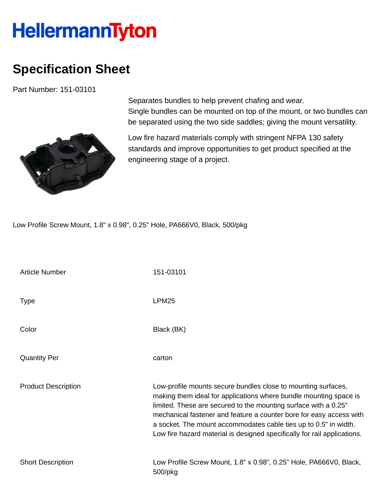## **HellermannTyton**

## **Specification Sheet**

Part Number: 151-03101



Separates bundles to help prevent chafing and wear. Single bundles can be mounted on top of the mount, or two bundles can be separated using the two side saddles; giving the mount versatility.

Low fire hazard materials comply with stringent NFPA 130 safety standards and improve opportunities to get product specified at the engineering stage of a project.

Low Profile Screw Mount, 1.8" x 0.98", 0.25" Hole, PA666V0, Black, 500/pkg

| <b>Article Number</b>      | 151-03101                                                                                                                                                                                                                                                                                                                                                                                                                    |
|----------------------------|------------------------------------------------------------------------------------------------------------------------------------------------------------------------------------------------------------------------------------------------------------------------------------------------------------------------------------------------------------------------------------------------------------------------------|
| <b>Type</b>                | LPM <sub>25</sub>                                                                                                                                                                                                                                                                                                                                                                                                            |
| Color                      | Black (BK)                                                                                                                                                                                                                                                                                                                                                                                                                   |
| <b>Quantity Per</b>        | carton                                                                                                                                                                                                                                                                                                                                                                                                                       |
| <b>Product Description</b> | Low-profile mounts secure bundles close to mounting surfaces,<br>making them ideal for applications where bundle mounting space is<br>limited. These are secured to the mounting surface with a 0.25"<br>mechanical fastener and feature a counter bore for easy access with<br>a socket. The mount accommodates cable ties up to 0.5" in width.<br>Low fire hazard material is designed specifically for rail applications. |
| <b>Short Description</b>   | Low Profile Screw Mount, 1.8" x 0.98", 0.25" Hole, PA666V0, Black,<br>500/pkg                                                                                                                                                                                                                                                                                                                                                |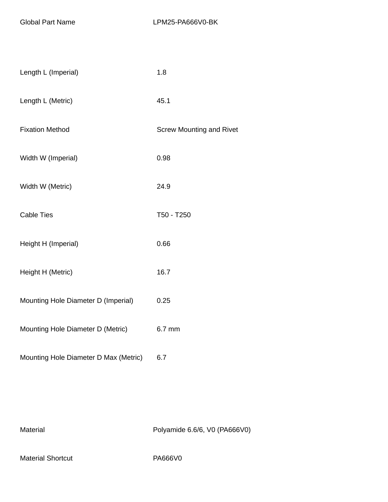| Length L (Imperial)                   | 1.8                             |
|---------------------------------------|---------------------------------|
| Length L (Metric)                     | 45.1                            |
| <b>Fixation Method</b>                | <b>Screw Mounting and Rivet</b> |
| Width W (Imperial)                    | 0.98                            |
| Width W (Metric)                      | 24.9                            |
| <b>Cable Ties</b>                     | T50 - T250                      |
| Height H (Imperial)                   | 0.66                            |
| Height H (Metric)                     | 16.7                            |
| Mounting Hole Diameter D (Imperial)   | 0.25                            |
| Mounting Hole Diameter D (Metric)     | 6.7 mm                          |
| Mounting Hole Diameter D Max (Metric) | 6.7                             |

Material Material Polyamide 6.6/6, V0 (PA666V0)

Material Shortcut PA666V0